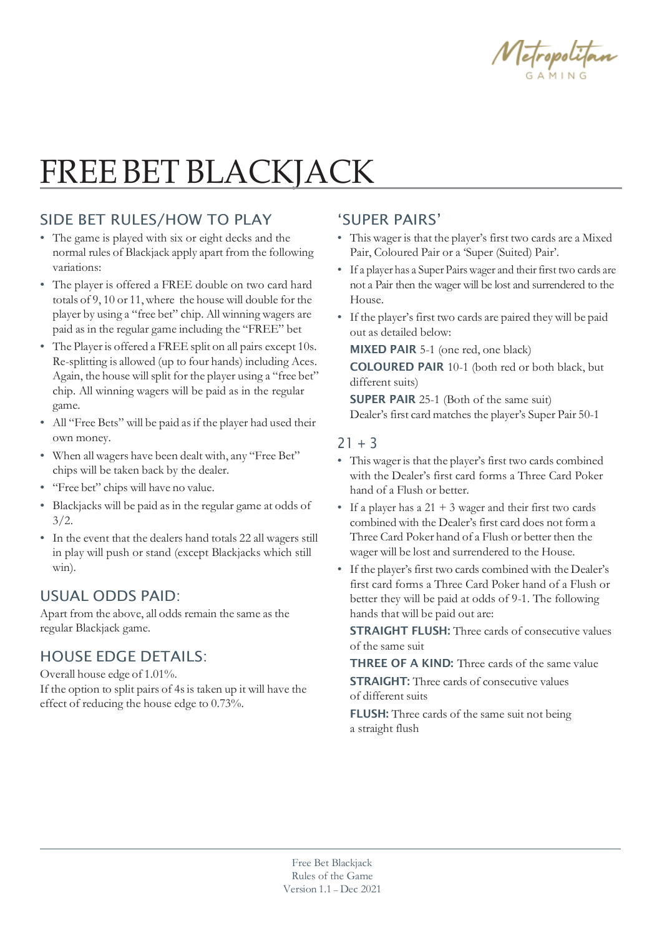

# FREE BET BLACKJACK

### SIDE BET RULES/HOW TO PLAY

- The game is played with six or eight decks and the normal rules of Blackjack apply apart from the following variations:
- The player is offered a FREE double on two card hard totals of 9, 10 or 11, where the house will double for the player by using a "free bet" chip. All winning wagers are paid as in the regular game including the "FREE" bet
- The Player is offered a FREE split on all pairs except 10s. Re-splitting is allowed (up to four hands) including Aces. Again, the house will split for the player using a "free bet" chip. All winning wagers will be paid as in the regular game.
- All "Free Bets" will be paid as if the player had used their own money.
- When all wagers have been dealt with, any "Free Bet" chips will be taken back by the dealer.
- "Free bet" chips will have no value.
- Blackjacks will be paid as in the regular game at odds of  $3/2.$
- In the event that the dealers hand totals 22 all wagers still in play will push or stand (except Blackjacks which still win).

### USUAL ODDS PAID:

Apart from the above, all odds remain the same as the regular Blackjack game.

### HOUSE EDGE DETAILS:

Overall house edge of 1.01%. If the option to split pairs of 4sis taken up it will have the effect of reducing the house edge to 0.73%.

### 'SUPER PAIRS'

- This wager is that the player's first two cards are a Mixed Pair, Coloured Pair or a 'Super (Suited) Pair'.
- If a player has a Super Pairs wager and their first two cards are not a Pair then the wager will be lost and surrendered to the House.
- If the player's first two cards are paired they will be paid out as detailed below:

MIXED PAIR 5-1 (one red, one black)

COLOURED PAIR 10-1 (both red or both black, but different suits)

SUPER PAIR 25-1 (Both of the same suit) Dealer's first card matches the player's Super Pair 50-1

#### $21 + 3$

- This wager is that the player's first two cards combined with the Dealer's first card forms a Three Card Poker hand of a Flush or better.
- If a player has a  $21 + 3$  wager and their first two cards combined with the Dealer's first card does not form a Three Card Poker hand of a Flush or better then the wager will be lost and surrendered to the House.
- If the player's first two cards combined with the Dealer's first card forms a Three Card Poker hand of a Flush or better they will be paid at odds of 9-1. The following hands that will be paid out are:

STRAIGHT FLUSH: Three cards of consecutive values of the same suit

THREE OF A KIND: Three cards of the same value **STRAIGHT:** Three cards of consecutive values

of different suits

FLUSH: Three cards of the same suit not being a straight flush